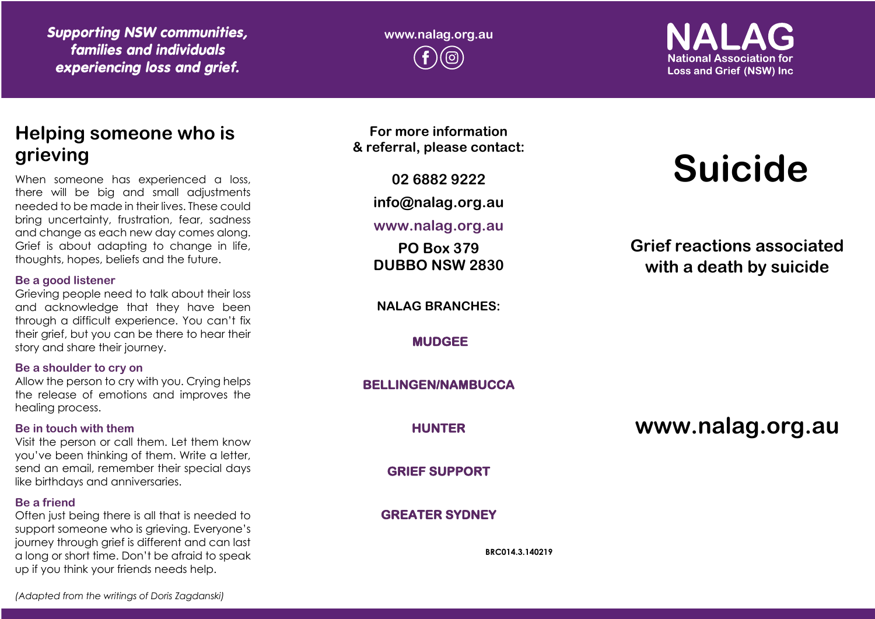*Supporting NSW communities, families and individuals experiencing loss and grief.*

**www.nalag.org.au**

**National Association for Loss and Grief (NSW) Inc** 

## **Helping someone who is grieving**

When someone has experienced a loss, there will be big and small adjustments needed to be made in their lives. These could bring uncertainty, frustration, fear, sadness and change as each new day comes along. Grief is about adapting to change in life, thoughts, hopes, beliefs and the future.

## **Be a good listener**

Grieving people need to talk about their loss and acknowledge that they have been through a difficult experience. You can't fix their grief, but you can be there to hear their story and share their journey.

## **Be a shoulder to cry on**

Allow the person to cry with you. Crying helps the release of emotions and improves the healing process.

## **Be in touch with them**

Visit the person or call them. Let them know you've been thinking of them. Write a letter, send an email, remember their special days like birthdays and anniversaries.

## **Be a friend**

Often just being there is all that is needed to support someone who is grieving. Everyone's journey through grief is different and can last a long or short time. Don't be afraid to speak up if you think your friends needs help.

**For more information & referral, please contact:**

**02 6882 9222**

**info@nalag.org.au**

**www.nalag.org.au**

**PO Box 379 DUBBO NSW 2830**

**NALAG BRANCHES:**

**MUDGEE** 

**BELLINGEN/NAMBUCCA** 

**HUNTER** 

**GRIEF SUPPORT** 

**GREATER SYDNEY** 

**BRC014.3.140219**

# **Suicide**

**Grief reactions associated with a death by suicide**

**www.nalag.org.au**

*(Adapted from the writings of Doris Zagdanski)*